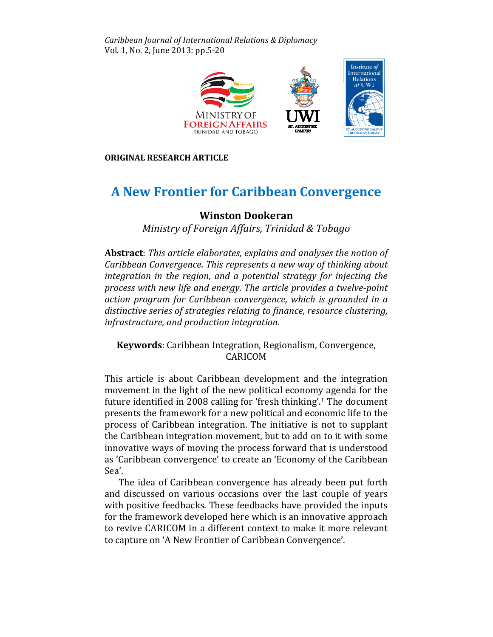Caribbean Journal of International Relations & Diplomacy Vol. 1, No. 2, June 2013: pp.5-20



ORIGINAL RESEARCH ARTICLE

# A New Frontier for Caribbean Convergence Caribbean Convergence

# Winston Dookeran

Ministry of Foreign Affairs, Trinidad & Tobago

Abstract: This article elaborates, explains and analyses the notion of Caribbean Convergence. This represents a new way of thinking about integration in the region, and a potential strategy for injecting the process with new life and energy. The article provides a twelve-point action program for Caribbean convergence, which is grounded in a distinctive series of strategies relating to finance, resource clustering, infrastructure, and production integration integration.

Keywords: Caribbean Integration, Regionalism, Convergence, CARICOM Keywords: Caribbean Integration, Regionalism, Convergence,<br>CARICOM<br>This article is about Caribbean development and the integration

movement in the light of the new political economy agenda for the future identified in 2008 calling for 'fresh thinking'.<sup>1</sup> The document presents the framework for a new political and economic life to the process of Caribbean integration. The initiative is not to supplant the Caribbean integration movement, but to add on to it with some innovative ways of moving the process forward that is understood as 'Caribbean convergence' to create an 'Economy of the Caribbean Sea'.

The idea of Caribbean convergence has already been put forth and discussed on various occasions over the last couple of years discussed on years with positive feedbacks. These feedbacks have provided the inputs for the framework developed here which is an innovative approach here innovative approach to revive CARICOM in a different context to make it more relevant to capture on 'A New Frontier of Caribbean Convergence'.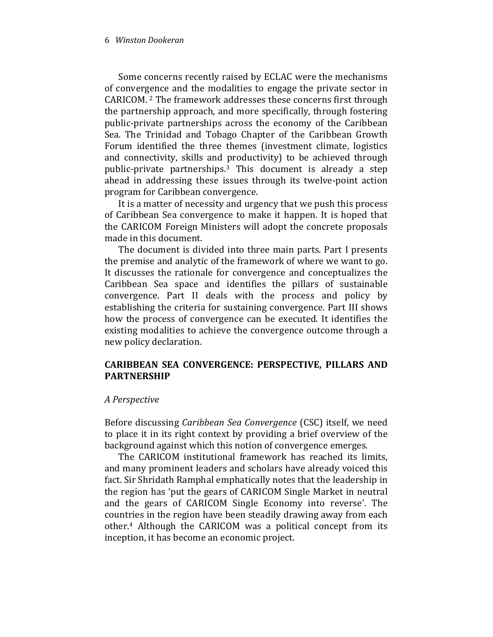Some concerns recently raised by ECLAC were the mechanisms of convergence and the modalities to engage the private sector in CARICOM. 2 The framework addresses these concerns first through the partnership approach, and more specifically, through fostering public-private partnerships across the economy of the Caribbean Sea. The Trinidad and Tobago Chapter of the Caribbean Growth Forum identified the three themes (investment climate, logistics and connectivity, skills and productivity) to be achieved through public-private partnerships.3 This document is already a step ahead in addressing these issues through its twelve-point action program for Caribbean convergence.

It is a matter of necessity and urgency that we push this process of Caribbean Sea convergence to make it happen. It is hoped that the CARICOM Foreign Ministers will adopt the concrete proposals made in this document.

The document is divided into three main parts. Part I presents the premise and analytic of the framework of where we want to go. It discusses the rationale for convergence and conceptualizes the Caribbean Sea space and identifies the pillars of sustainable convergence. Part II deals with the process and policy by establishing the criteria for sustaining convergence. Part III shows how the process of convergence can be executed. It identifies the existing modalities to achieve the convergence outcome through a new policy declaration.

## CARIBBEAN SEA CONVERGENCE: PERSPECTIVE, PILLARS AND PARTNERSHIP

#### A Perspective

Before discussing Caribbean Sea Convergence (CSC) itself, we need to place it in its right context by providing a brief overview of the background against which this notion of convergence emerges.

The CARICOM institutional framework has reached its limits, and many prominent leaders and scholars have already voiced this fact. Sir Shridath Ramphal emphatically notes that the leadership in the region has 'put the gears of CARICOM Single Market in neutral and the gears of CARICOM Single Economy into reverse'. The countries in the region have been steadily drawing away from each other.4 Although the CARICOM was a political concept from its inception, it has become an economic project.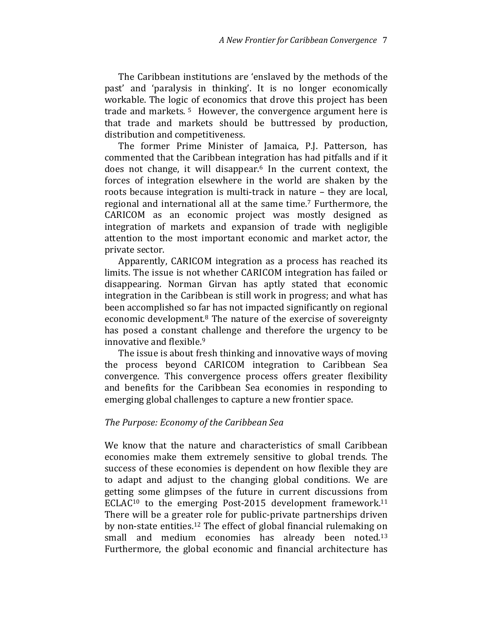The Caribbean institutions are 'enslaved by the methods of the past' and 'paralysis in thinking'. It is no longer economically workable. The logic of economics that drove this project has been trade and markets.<sup>5</sup> However, the convergence argument here is that trade and markets should be buttressed by production, distribution and competitiveness.

The former Prime Minister of Jamaica, P.J. Patterson, has commented that the Caribbean integration has had pitfalls and if it does not change, it will disappear.6 In the current context, the forces of integration elsewhere in the world are shaken by the roots because integration is multi-track in nature – they are local, regional and international all at the same time.<sup>7</sup> Furthermore, the CARICOM as an economic project was mostly designed as integration of markets and expansion of trade with negligible attention to the most important economic and market actor, the private sector.

Apparently, CARICOM integration as a process has reached its limits. The issue is not whether CARICOM integration has failed or disappearing. Norman Girvan has aptly stated that economic integration in the Caribbean is still work in progress; and what has been accomplished so far has not impacted significantly on regional economic development.8 The nature of the exercise of sovereignty has posed a constant challenge and therefore the urgency to be innovative and flexible.<sup>9</sup>

The issue is about fresh thinking and innovative ways of moving the process beyond CARICOM integration to Caribbean Sea convergence. This convergence process offers greater flexibility and benefits for the Caribbean Sea economies in responding to emerging global challenges to capture a new frontier space.

### The Purpose: Economy of the Caribbean Sea

We know that the nature and characteristics of small Caribbean economies make them extremely sensitive to global trends. The success of these economies is dependent on how flexible they are to adapt and adjust to the changing global conditions. We are getting some glimpses of the future in current discussions from ECLAC<sup>10</sup> to the emerging Post-2015 development framework.<sup>11</sup> There will be a greater role for public-private partnerships driven by non-state entities.12 The effect of global financial rulemaking on small and medium economies has already been noted.<sup>13</sup> Furthermore, the global economic and financial architecture has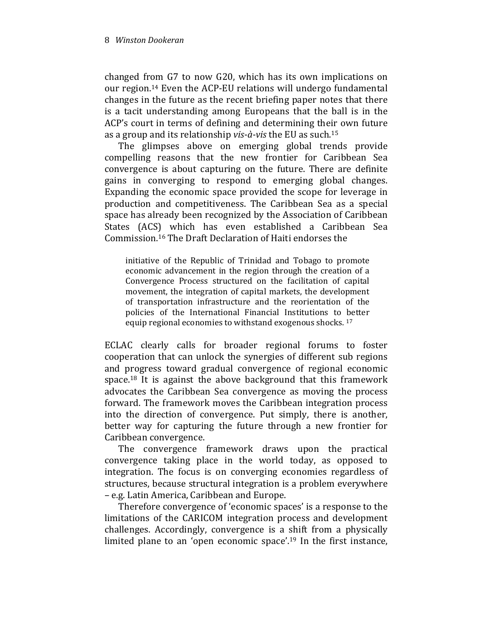changed from G7 to now G20, which has its own implications on our region.14 Even the ACP-EU relations will undergo fundamental changes in the future as the recent briefing paper notes that there is a tacit understanding among Europeans that the ball is in the ACP's court in terms of defining and determining their own future as a group and its relationship *vis-à-vis* the EU as such.<sup>15</sup>

The glimpses above on emerging global trends provide compelling reasons that the new frontier for Caribbean Sea convergence is about capturing on the future. There are definite gains in converging to respond to emerging global changes. Expanding the economic space provided the scope for leverage in production and competitiveness. The Caribbean Sea as a special space has already been recognized by the Association of Caribbean States (ACS) which has even established a Caribbean Sea Commission.16 The Draft Declaration of Haiti endorses the

initiative of the Republic of Trinidad and Tobago to promote economic advancement in the region through the creation of a Convergence Process structured on the facilitation of capital movement, the integration of capital markets, the development of transportation infrastructure and the reorientation of the policies of the International Financial Institutions to better equip regional economies to withstand exogenous shocks. <sup>17</sup>

ECLAC clearly calls for broader regional forums to foster cooperation that can unlock the synergies of different sub regions and progress toward gradual convergence of regional economic space.<sup>18</sup> It is against the above background that this framework advocates the Caribbean Sea convergence as moving the process forward. The framework moves the Caribbean integration process into the direction of convergence. Put simply, there is another, better way for capturing the future through a new frontier for Caribbean convergence.

The convergence framework draws upon the practical convergence taking place in the world today, as opposed to integration. The focus is on converging economies regardless of structures, because structural integration is a problem everywhere – e.g. Latin America, Caribbean and Europe.

Therefore convergence of 'economic spaces' is a response to the limitations of the CARICOM integration process and development challenges. Accordingly, convergence is a shift from a physically limited plane to an 'open economic space'.19 In the first instance,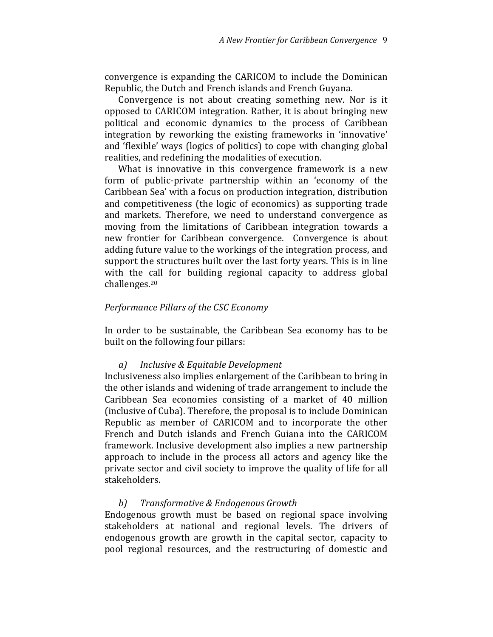convergence is expanding the CARICOM to include the Dominican Republic, the Dutch and French islands and French Guyana.

Convergence is not about creating something new. Nor is it opposed to CARICOM integration. Rather, it is about bringing new political and economic dynamics to the process of Caribbean integration by reworking the existing frameworks in 'innovative' and 'flexible' ways (logics of politics) to cope with changing global realities, and redefining the modalities of execution.

What is innovative in this convergence framework is a new form of public-private partnership within an 'economy of the Caribbean Sea' with a focus on production integration, distribution and competitiveness (the logic of economics) as supporting trade and markets. Therefore, we need to understand convergence as moving from the limitations of Caribbean integration towards a new frontier for Caribbean convergence. Convergence is about adding future value to the workings of the integration process, and support the structures built over the last forty years. This is in line with the call for building regional capacity to address global challenges.<sup>20</sup>

#### Performance Pillars of the CSC Economy

In order to be sustainable, the Caribbean Sea economy has to be built on the following four pillars:

#### a) Inclusive & Equitable Development

Inclusiveness also implies enlargement of the Caribbean to bring in the other islands and widening of trade arrangement to include the Caribbean Sea economies consisting of a market of 40 million (inclusive of Cuba). Therefore, the proposal is to include Dominican Republic as member of CARICOM and to incorporate the other French and Dutch islands and French Guiana into the CARICOM framework. Inclusive development also implies a new partnership approach to include in the process all actors and agency like the private sector and civil society to improve the quality of life for all stakeholders.

#### b) Transformative & Endogenous Growth

Endogenous growth must be based on regional space involving stakeholders at national and regional levels. The drivers of endogenous growth are growth in the capital sector, capacity to pool regional resources, and the restructuring of domestic and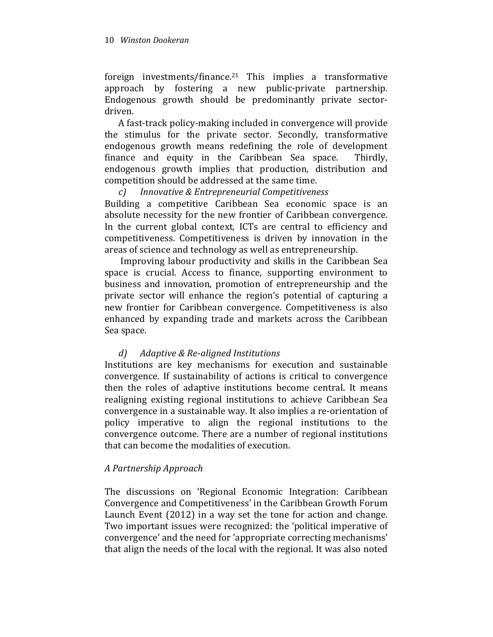foreign investments/finance.<sup>21</sup> This implies a transformative approach by fostering a new public-private partnership. Endogenous growth should be predominantly private sectordriven.

A fast-track policy-making included in convergence will provide the stimulus for the private sector. Secondly, transformative endogenous growth means redefining the role of development finance and equity in the Caribbean Sea space. Thirdly, endogenous growth implies that production, distribution and competition should be addressed at the same time.

c) Innovative & Entrepreneurial Competitiveness Building a competitive Caribbean Sea economic space is an absolute necessity for the new frontier of Caribbean convergence. In the current global context, ICTs are central to efficiency and competitiveness. Competitiveness is driven by innovation in the areas of science and technology as well as entrepreneurship.

 Improving labour productivity and skills in the Caribbean Sea space is crucial. Access to finance, supporting environment to business and innovation, promotion of entrepreneurship and the private sector will enhance the region's potential of capturing a new frontier for Caribbean convergence. Competitiveness is also enhanced by expanding trade and markets across the Caribbean Sea space.

# d) Adaptive & Re-aligned Institutions

Institutions are key mechanisms for execution and sustainable convergence. If sustainability of actions is critical to convergence then the roles of adaptive institutions become central. It means realigning existing regional institutions to achieve Caribbean Sea convergence in a sustainable way. It also implies a re-orientation of policy imperative to align the regional institutions to the convergence outcome. There are a number of regional institutions that can become the modalities of execution.

# A Partnership Approach

The discussions on 'Regional Economic Integration: Caribbean Convergence and Competitiveness' in the Caribbean Growth Forum Launch Event (2012) in a way set the tone for action and change. Two important issues were recognized: the 'political imperative of convergence' and the need for 'appropriate correcting mechanisms' that align the needs of the local with the regional. It was also noted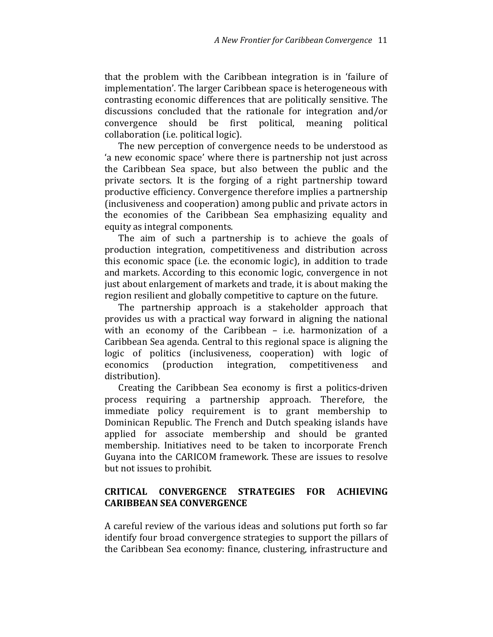that the problem with the Caribbean integration is in 'failure of implementation'. The larger Caribbean space is heterogeneous with contrasting economic differences that are politically sensitive. The discussions concluded that the rationale for integration and/or convergence should be first political, meaning political collaboration (i.e. political logic).

The new perception of convergence needs to be understood as 'a new economic space' where there is partnership not just across the Caribbean Sea space, but also between the public and the private sectors. It is the forging of a right partnership toward productive efficiency. Convergence therefore implies a partnership (inclusiveness and cooperation) among public and private actors in the economies of the Caribbean Sea emphasizing equality and equity as integral components.

The aim of such a partnership is to achieve the goals of production integration, competitiveness and distribution across this economic space (i.e. the economic logic), in addition to trade and markets. According to this economic logic, convergence in not just about enlargement of markets and trade, it is about making the region resilient and globally competitive to capture on the future.

The partnership approach is a stakeholder approach that provides us with a practical way forward in aligning the national with an economy of the Caribbean – i.e. harmonization of a Caribbean Sea agenda. Central to this regional space is aligning the logic of politics (inclusiveness, cooperation) with logic of economics (production integration, competitiveness and distribution).

Creating the Caribbean Sea economy is first a politics-driven process requiring a partnership approach. Therefore, the immediate policy requirement is to grant membership to Dominican Republic. The French and Dutch speaking islands have applied for associate membership and should be granted membership. Initiatives need to be taken to incorporate French Guyana into the CARICOM framework. These are issues to resolve but not issues to prohibit.

# CRITICAL CONVERGENCE STRATEGIES FOR ACHIEVING CARIBBEAN SEA CONVERGENCE

A careful review of the various ideas and solutions put forth so far identify four broad convergence strategies to support the pillars of the Caribbean Sea economy: finance, clustering, infrastructure and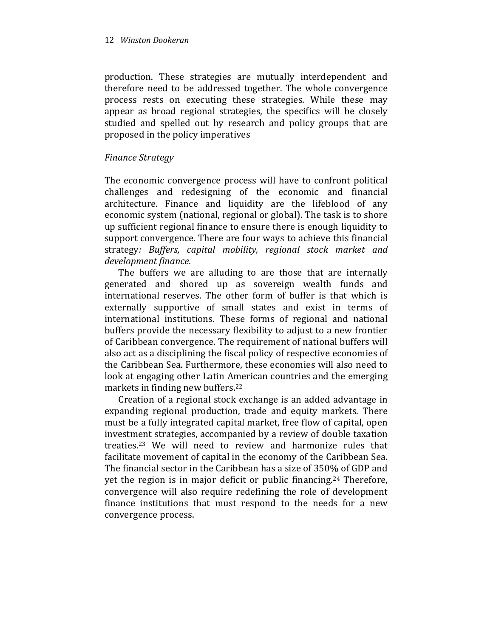production. These strategies are mutually interdependent and therefore need to be addressed together. The whole convergence process rests on executing these strategies. While these may appear as broad regional strategies, the specifics will be closely studied and spelled out by research and policy groups that are proposed in the policy imperatives

# Finance Strategy

The economic convergence process will have to confront political challenges and redesigning of the economic and financial architecture. Finance and liquidity are the lifeblood of any economic system (national, regional or global). The task is to shore up sufficient regional finance to ensure there is enough liquidity to support convergence. There are four ways to achieve this financial strategy: Buffers, capital mobility, regional stock market and development finance.

The buffers we are alluding to are those that are internally generated and shored up as sovereign wealth funds and international reserves. The other form of buffer is that which is externally supportive of small states and exist in terms of international institutions. These forms of regional and national buffers provide the necessary flexibility to adjust to a new frontier of Caribbean convergence. The requirement of national buffers will also act as a disciplining the fiscal policy of respective economies of the Caribbean Sea. Furthermore, these economies will also need to look at engaging other Latin American countries and the emerging markets in finding new buffers.<sup>22</sup>

Creation of a regional stock exchange is an added advantage in expanding regional production, trade and equity markets. There must be a fully integrated capital market, free flow of capital, open investment strategies, accompanied by a review of double taxation treaties.23 We will need to review and harmonize rules that facilitate movement of capital in the economy of the Caribbean Sea. The financial sector in the Caribbean has a size of 350% of GDP and yet the region is in major deficit or public financing.<sup>24</sup> Therefore, convergence will also require redefining the role of development finance institutions that must respond to the needs for a new convergence process.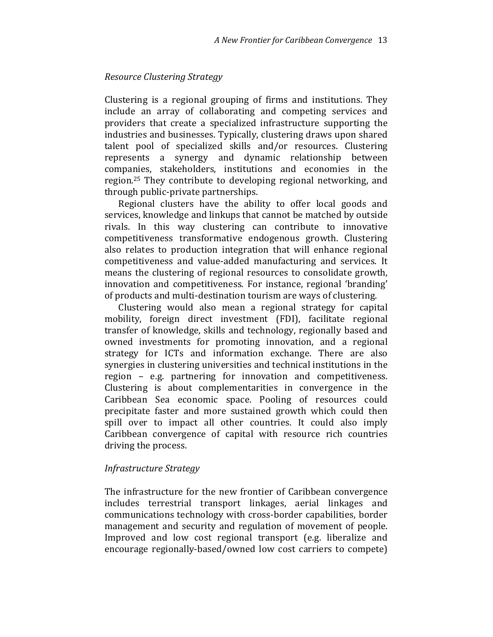### Resource Clustering Strategy

Clustering is a regional grouping of firms and institutions. They include an array of collaborating and competing services and providers that create a specialized infrastructure supporting the industries and businesses. Typically, clustering draws upon shared talent pool of specialized skills and/or resources. Clustering represents a synergy and dynamic relationship between companies, stakeholders, institutions and economies in the region.25 They contribute to developing regional networking, and through public-private partnerships.

Regional clusters have the ability to offer local goods and services, knowledge and linkups that cannot be matched by outside rivals. In this way clustering can contribute to innovative competitiveness transformative endogenous growth. Clustering also relates to production integration that will enhance regional competitiveness and value-added manufacturing and services. It means the clustering of regional resources to consolidate growth, innovation and competitiveness. For instance, regional 'branding' of products and multi-destination tourism are ways of clustering.

Clustering would also mean a regional strategy for capital mobility, foreign direct investment (FDI), facilitate regional transfer of knowledge, skills and technology, regionally based and owned investments for promoting innovation, and a regional strategy for ICTs and information exchange. There are also synergies in clustering universities and technical institutions in the region – e.g. partnering for innovation and competitiveness. Clustering is about complementarities in convergence in the Caribbean Sea economic space. Pooling of resources could precipitate faster and more sustained growth which could then spill over to impact all other countries. It could also imply Caribbean convergence of capital with resource rich countries driving the process.

#### Infrastructure Strategy

The infrastructure for the new frontier of Caribbean convergence includes terrestrial transport linkages, aerial linkages and communications technology with cross-border capabilities, border management and security and regulation of movement of people. Improved and low cost regional transport (e.g. liberalize and encourage regionally-based/owned low cost carriers to compete)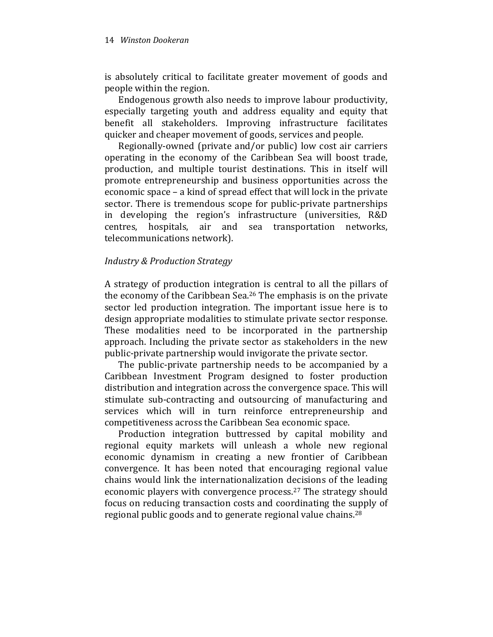is absolutely critical to facilitate greater movement of goods and people within the region.

Endogenous growth also needs to improve labour productivity, especially targeting youth and address equality and equity that benefit all stakeholders. Improving infrastructure facilitates quicker and cheaper movement of goods, services and people.

Regionally-owned (private and/or public) low cost air carriers operating in the economy of the Caribbean Sea will boost trade, production, and multiple tourist destinations. This in itself will promote entrepreneurship and business opportunities across the economic space – a kind of spread effect that will lock in the private sector. There is tremendous scope for public-private partnerships in developing the region's infrastructure (universities, R&D centres, hospitals, air and sea transportation networks, telecommunications network).

# Industry & Production Strategy

A strategy of production integration is central to all the pillars of the economy of the Caribbean Sea.26 The emphasis is on the private sector led production integration. The important issue here is to design appropriate modalities to stimulate private sector response. These modalities need to be incorporated in the partnership approach. Including the private sector as stakeholders in the new public-private partnership would invigorate the private sector.

The public-private partnership needs to be accompanied by a Caribbean Investment Program designed to foster production distribution and integration across the convergence space. This will stimulate sub-contracting and outsourcing of manufacturing and services which will in turn reinforce entrepreneurship and competitiveness across the Caribbean Sea economic space.

Production integration buttressed by capital mobility and regional equity markets will unleash a whole new regional economic dynamism in creating a new frontier of Caribbean convergence. It has been noted that encouraging regional value chains would link the internationalization decisions of the leading economic players with convergence process.<sup>27</sup> The strategy should focus on reducing transaction costs and coordinating the supply of regional public goods and to generate regional value chains.28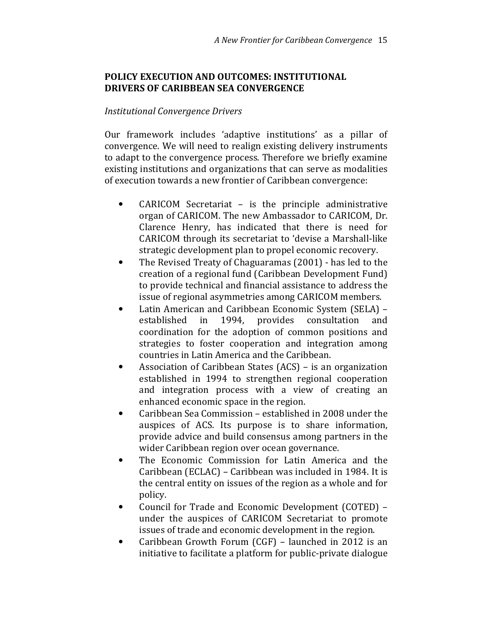# POLICY EXECUTION AND OUTCOMES: INSTITUTIONAL DRIVERS OF CARIBBEAN SEA CONVERGENCE

## Institutional Convergence Drivers

Our framework includes 'adaptive institutions' as a pillar of convergence. We will need to realign existing delivery instruments to adapt to the convergence process. Therefore we briefly examine existing institutions and organizations that can serve as modalities of execution towards a new frontier of Caribbean convergence:

- CARICOM Secretariat is the principle administrative organ of CARICOM. The new Ambassador to CARICOM, Dr. Clarence Henry, has indicated that there is need for CARICOM through its secretariat to 'devise a Marshall-like strategic development plan to propel economic recovery.
- The Revised Treaty of Chaguaramas (2001) has led to the creation of a regional fund (Caribbean Development Fund) to provide technical and financial assistance to address the issue of regional asymmetries among CARICOM members.
- Latin American and Caribbean Economic System (SELA) established in 1994, provides consultation and coordination for the adoption of common positions and strategies to foster cooperation and integration among countries in Latin America and the Caribbean.
- Association of Caribbean States (ACS) is an organization established in 1994 to strengthen regional cooperation and integration process with a view of creating an enhanced economic space in the region.
- Caribbean Sea Commission established in 2008 under the auspices of ACS. Its purpose is to share information, provide advice and build consensus among partners in the wider Caribbean region over ocean governance.
- The Economic Commission for Latin America and the Caribbean (ECLAC) – Caribbean was included in 1984. It is the central entity on issues of the region as a whole and for policy.
- Council for Trade and Economic Development (COTED) under the auspices of CARICOM Secretariat to promote issues of trade and economic development in the region.
- Caribbean Growth Forum (CGF) launched in 2012 is an initiative to facilitate a platform for public-private dialogue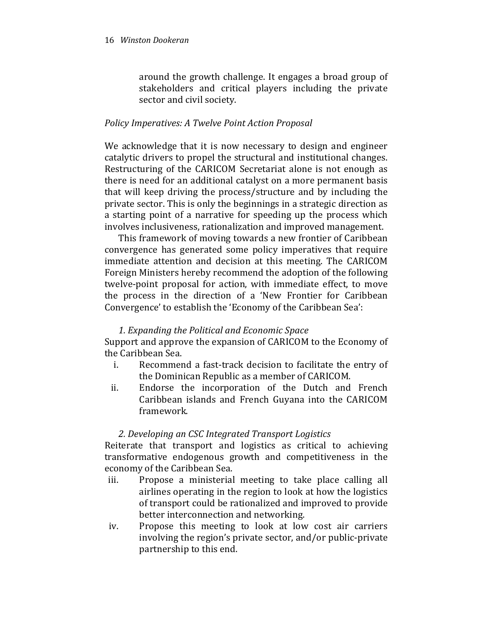around the growth challenge. It engages a broad group of stakeholders and critical players including the private sector and civil society.

# Policy Imperatives: A Twelve Point Action Proposal

We acknowledge that it is now necessary to design and engineer catalytic drivers to propel the structural and institutional changes. Restructuring of the CARICOM Secretariat alone is not enough as there is need for an additional catalyst on a more permanent basis that will keep driving the process/structure and by including the private sector. This is only the beginnings in a strategic direction as a starting point of a narrative for speeding up the process which involves inclusiveness, rationalization and improved management.

This framework of moving towards a new frontier of Caribbean convergence has generated some policy imperatives that require immediate attention and decision at this meeting. The CARICOM Foreign Ministers hereby recommend the adoption of the following twelve-point proposal for action, with immediate effect, to move the process in the direction of a 'New Frontier for Caribbean Convergence' to establish the 'Economy of the Caribbean Sea':

# 1. Expanding the Political and Economic Space

Support and approve the expansion of CARICOM to the Economy of the Caribbean Sea.

- i. Recommend a fast-track decision to facilitate the entry of the Dominican Republic as a member of CARICOM.
- ii. Endorse the incorporation of the Dutch and French Caribbean islands and French Guyana into the CARICOM framework.

# 2. Developing an CSC Integrated Transport Logistics

Reiterate that transport and logistics as critical to achieving transformative endogenous growth and competitiveness in the economy of the Caribbean Sea.

- iii. Propose a ministerial meeting to take place calling all airlines operating in the region to look at how the logistics of transport could be rationalized and improved to provide better interconnection and networking.
- iv. Propose this meeting to look at low cost air carriers involving the region's private sector, and/or public-private partnership to this end.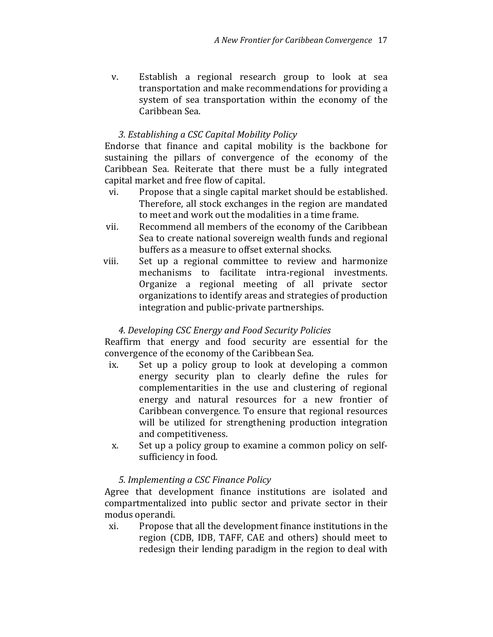v. Establish a regional research group to look at sea transportation and make recommendations for providing a system of sea transportation within the economy of the Caribbean Sea.

# 3. Establishing a CSC Capital Mobility Policy

Endorse that finance and capital mobility is the backbone for sustaining the pillars of convergence of the economy of the Caribbean Sea. Reiterate that there must be a fully integrated capital market and free flow of capital.

- vi. Propose that a single capital market should be established. Therefore, all stock exchanges in the region are mandated to meet and work out the modalities in a time frame.
- vii. Recommend all members of the economy of the Caribbean Sea to create national sovereign wealth funds and regional buffers as a measure to offset external shocks.
- viii. Set up a regional committee to review and harmonize mechanisms to facilitate intra-regional investments. Organize a regional meeting of all private sector organizations to identify areas and strategies of production integration and public-private partnerships.

# 4. Developing CSC Energy and Food Security Policies

Reaffirm that energy and food security are essential for the convergence of the economy of the Caribbean Sea.

- ix. Set up a policy group to look at developing a common energy security plan to clearly define the rules for complementarities in the use and clustering of regional energy and natural resources for a new frontier of Caribbean convergence. To ensure that regional resources will be utilized for strengthening production integration and competitiveness.
- x. Set up a policy group to examine a common policy on selfsufficiency in food.

# 5. Implementing a CSC Finance Policy

Agree that development finance institutions are isolated and compartmentalized into public sector and private sector in their modus operandi.

xi. Propose that all the development finance institutions in the region (CDB, IDB, TAFF, CAE and others) should meet to redesign their lending paradigm in the region to deal with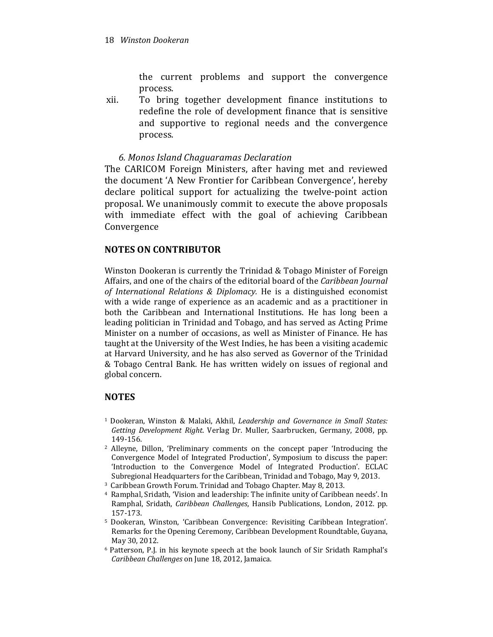the current problems and support the convergence process.

xii. To bring together development finance institutions to redefine the role of development finance that is sensitive and supportive to regional needs and the convergence process.

## 6. Monos Island Chaguaramas Declaration

The CARICOM Foreign Ministers, after having met and reviewed the document 'A New Frontier for Caribbean Convergence', hereby declare political support for actualizing the twelve-point action proposal. We unanimously commit to execute the above proposals with immediate effect with the goal of achieving Caribbean Convergence

# NOTES ON CONTRIBUTOR

Winston Dookeran is currently the Trinidad & Tobago Minister of Foreign Affairs, and one of the chairs of the editorial board of the Caribbean Journal of International Relations & Diplomacy. He is a distinguished economist with a wide range of experience as an academic and as a practitioner in both the Caribbean and International Institutions. He has long been a leading politician in Trinidad and Tobago, and has served as Acting Prime Minister on a number of occasions, as well as Minister of Finance. He has taught at the University of the West Indies, he has been a visiting academic at Harvard University, and he has also served as Governor of the Trinidad & Tobago Central Bank. He has written widely on issues of regional and global concern.

# NOTES

- <sup>1</sup> Dookeran, Winston & Malaki, Akhil, Leadership and Governance in Small States: Getting Development Right. Verlag Dr. Muller, Saarbrucken, Germany, 2008, pp. 149-156.
- <sup>2</sup> Alleyne, Dillon, 'Preliminary comments on the concept paper 'Introducing the Convergence Model of Integrated Production', Symposium to discuss the paper: 'Introduction to the Convergence Model of Integrated Production'. ECLAC Subregional Headquarters for the Caribbean, Trinidad and Tobago, May 9, 2013.
- <sup>3</sup> Caribbean Growth Forum. Trinidad and Tobago Chapter. May 8, 2013.
- <sup>4</sup> Ramphal, Sridath, 'Vision and leadership: The infinite unity of Caribbean needs'. In Ramphal, Sridath, Caribbean Challenges, Hansib Publications, London, 2012. pp. 157-173.
- <sup>5</sup> Dookeran, Winston, 'Caribbean Convergence: Revisiting Caribbean Integration'. Remarks for the Opening Ceremony, Caribbean Development Roundtable, Guyana, May 30, 2012.
- <sup>6</sup> Patterson, P.J. in his keynote speech at the book launch of Sir Sridath Ramphal's Caribbean Challenges on June 18, 2012, Jamaica.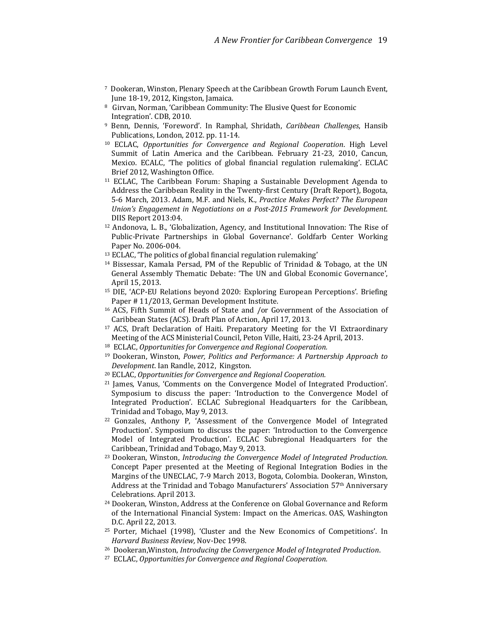- <sup>7</sup> Dookeran, Winston, Plenary Speech at the Caribbean Growth Forum Launch Event, June 18-19, 2012, Kingston, Jamaica.
- <sup>8</sup> Girvan, Norman, 'Caribbean Community: The Elusive Quest for Economic Integration'. CDB, 2010.
- <sup>9</sup> Benn, Dennis, 'Foreword'. In Ramphal, Shridath, Caribbean Challenges, Hansib Publications, London, 2012. pp. 11-14.
- <sup>10</sup> ECLAC, Opportunities for Convergence and Regional Cooperation. High Level Summit of Latin America and the Caribbean. February 21-23, 2010, Cancun, Mexico. ECALC, 'The politics of global financial regulation rulemaking'. ECLAC Brief 2012, Washington Office.
- <sup>11</sup> ECLAC, The Caribbean Forum: Shaping a Sustainable Development Agenda to Address the Caribbean Reality in the Twenty-first Century (Draft Report), Bogota, 5-6 March, 2013. Adam, M.F. and Niels, K., Practice Makes Perfect? The European Union's Engagement in Negotiations on a Post-2015 Framework for Development. DIIS Report 2013:04.
- <sup>12</sup> Andonova, L. B., 'Globalization, Agency, and Institutional Innovation: The Rise of Public-Private Partnerships in Global Governance'. Goldfarb Center Working Paper No. 2006-004.
- <sup>13</sup> ECLAC, 'The politics of global financial regulation rulemaking'
- <sup>14</sup> Bissessar, Kamala Persad, PM of the Republic of Trinidad & Tobago, at the UN General Assembly Thematic Debate: 'The UN and Global Economic Governance', April 15, 2013.
- <sup>15</sup> DIE, 'ACP-EU Relations beyond 2020: Exploring European Perceptions'. Briefing Paper # 11/2013, German Development Institute.
- <sup>16</sup> ACS, Fifth Summit of Heads of State and /or Government of the Association of Caribbean States (ACS). Draft Plan of Action, April 17, 2013.
- <sup>17</sup> ACS, Draft Declaration of Haiti. Preparatory Meeting for the VI Extraordinary Meeting of the ACS Ministerial Council, Peton Ville, Haiti, 23-24 April, 2013.
- <sup>18</sup> ECLAC, Opportunities for Convergence and Regional Cooperation.
- <sup>19</sup> Dookeran, Winston, Power, Politics and Performance: A Partnership Approach to Development. Ian Randle, 2012, Kingston.
- <sup>20</sup> ECLAC, Opportunities for Convergence and Regional Cooperation.
- <sup>21</sup> James, Vanus, 'Comments on the Convergence Model of Integrated Production'. Symposium to discuss the paper: 'Introduction to the Convergence Model of Integrated Production'. ECLAC Subregional Headquarters for the Caribbean, Trinidad and Tobago, May 9, 2013.
- <sup>22</sup> Gonzales, Anthony P, 'Assessment of the Convergence Model of Integrated Production'. Symposium to discuss the paper: 'Introduction to the Convergence Model of Integrated Production'. ECLAC Subregional Headquarters for the Caribbean, Trinidad and Tobago, May 9, 2013.
- <sup>23</sup> Dookeran, Winston, Introducing the Convergence Model of Integrated Production. Concept Paper presented at the Meeting of Regional Integration Bodies in the Margins of the UNECLAC, 7-9 March 2013, Bogota, Colombia. Dookeran, Winston, Address at the Trinidad and Tobago Manufacturers' Association 57th Anniversary Celebrations. April 2013.
- <sup>24</sup> Dookeran, Winston, Address at the Conference on Global Governance and Reform of the International Financial System: Impact on the Americas. OAS, Washington D.C. April 22, 2013.
- <sup>25</sup> Porter, Michael (1998), 'Cluster and the New Economics of Competitions'. In Harvard Business Review, Nov-Dec 1998.
- $26$  Dookeran, Winston, Introducing the Convergence Model of Integrated Production.
- 27 ECLAC, Opportunities for Convergence and Regional Cooperation.